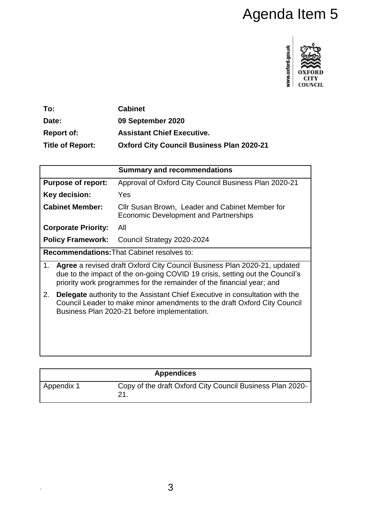# Agenda Item 5



| To:                     | <b>Cabinet</b>                                   |
|-------------------------|--------------------------------------------------|
| Date:                   | 09 September 2020                                |
| <b>Report of:</b>       | <b>Assistant Chief Executive.</b>                |
| <b>Title of Report:</b> | <b>Oxford City Council Business Plan 2020-21</b> |

|                                                                                                                                                                                                                                         | <b>Summary and recommendations</b>                                                              |  |
|-----------------------------------------------------------------------------------------------------------------------------------------------------------------------------------------------------------------------------------------|-------------------------------------------------------------------------------------------------|--|
| <b>Purpose of report:</b>                                                                                                                                                                                                               | Approval of Oxford City Council Business Plan 2020-21                                           |  |
| Key decision:                                                                                                                                                                                                                           | Yes                                                                                             |  |
| <b>Cabinet Member:</b>                                                                                                                                                                                                                  | Cllr Susan Brown, Leader and Cabinet Member for<br><b>Economic Development and Partnerships</b> |  |
| <b>Corporate Priority:</b>                                                                                                                                                                                                              | All                                                                                             |  |
| <b>Policy Framework:</b>                                                                                                                                                                                                                | Council Strategy 2020-2024                                                                      |  |
| <b>Recommendations: That Cabinet resolves to:</b>                                                                                                                                                                                       |                                                                                                 |  |
| Agree a revised draft Oxford City Council Business Plan 2020-21, updated<br>1.<br>due to the impact of the on-going COVID 19 crisis, setting out the Council's<br>priority work programmes for the remainder of the financial year; and |                                                                                                 |  |
| <b>Delegate</b> authority to the Assistant Chief Executive in consultation with the<br>2.<br>Council Leader to make minor amendments to the draft Oxford City Council<br>Business Plan 2020-21 before implementation.                   |                                                                                                 |  |

| <b>Appendices</b> |                                                                 |
|-------------------|-----------------------------------------------------------------|
| Appendix 1        | Copy of the draft Oxford City Council Business Plan 2020-<br>21 |

.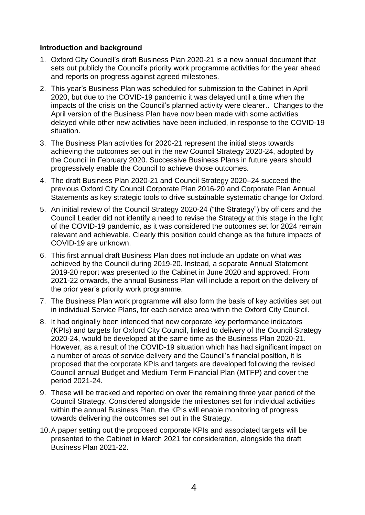## **Introduction and background**

- 1. Oxford City Council's draft Business Plan 2020-21 is a new annual document that sets out publicly the Council's priority work programme activities for the year ahead and reports on progress against agreed milestones.
- 2. This year's Business Plan was scheduled for submission to the Cabinet in April 2020, but due to the COVID-19 pandemic it was delayed until a time when the impacts of the crisis on the Council's planned activity were clearer.. Changes to the April version of the Business Plan have now been made with some activities delayed while other new activities have been included, in response to the COVID-19 situation.
- 3. The Business Plan activities for 2020-21 represent the initial steps towards achieving the outcomes set out in the new Council Strategy 2020-24, adopted by the Council in February 2020. Successive Business Plans in future years should progressively enable the Council to achieve those outcomes.
- 4. The draft Business Plan 2020-21 and Council Strategy 2020–24 succeed the previous Oxford City Council Corporate Plan 2016-20 and Corporate Plan Annual Statements as key strategic tools to drive sustainable systematic change for Oxford.
- 5. An initial review of the Council Strategy 2020-24 ("the Strategy") by officers and the Council Leader did not identify a need to revise the Strategy at this stage in the light of the COVID-19 pandemic, as it was considered the outcomes set for 2024 remain relevant and achievable. Clearly this position could change as the future impacts of COVID-19 are unknown.
- 6. This first annual draft Business Plan does not include an update on what was achieved by the Council during 2019-20. Instead, a separate Annual Statement 2019-20 report was presented to the Cabinet in June 2020 and approved. From 2021-22 onwards, the annual Business Plan will include a report on the delivery of the prior year's priority work programme.
- 7. The Business Plan work programme will also form the basis of key activities set out in individual Service Plans, for each service area within the Oxford City Council.
- 8. It had originally been intended that new corporate key performance indicators (KPIs) and targets for Oxford City Council, linked to delivery of the Council Strategy 2020-24, would be developed at the same time as the Business Plan 2020-21. However, as a result of the COVID-19 situation which has had significant impact on a number of areas of service delivery and the Council's financial position, it is proposed that the corporate KPIs and targets are developed following the revised Council annual Budget and Medium Term Financial Plan (MTFP) and cover the period 2021-24.
- 9. These will be tracked and reported on over the remaining three year period of the Council Strategy. Considered alongside the milestones set for individual activities within the annual Business Plan, the KPIs will enable monitoring of progress towards delivering the outcomes set out in the Strategy.
- 10.A paper setting out the proposed corporate KPIs and associated targets will be presented to the Cabinet in March 2021 for consideration, alongside the draft Business Plan 2021-22.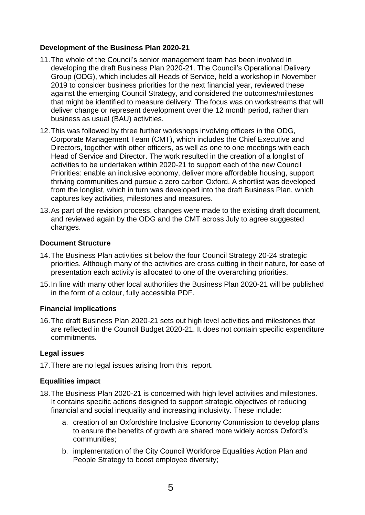## **Development of the Business Plan 2020-21**

- 11.The whole of the Council's senior management team has been involved in developing the draft Business Plan 2020-21. The Council's Operational Delivery Group (ODG), which includes all Heads of Service, held a workshop in November 2019 to consider business priorities for the next financial year, reviewed these against the emerging Council Strategy, and considered the outcomes/milestones that might be identified to measure delivery. The focus was on workstreams that will deliver change or represent development over the 12 month period, rather than business as usual (BAU) activities.
- 12.This was followed by three further workshops involving officers in the ODG, Corporate Management Team (CMT), which includes the Chief Executive and Directors, together with other officers, as well as one to one meetings with each Head of Service and Director. The work resulted in the creation of a longlist of activities to be undertaken within 2020-21 to support each of the new Council Priorities: enable an inclusive economy, deliver more affordable housing, support thriving communities and pursue a zero carbon Oxford. A shortlist was developed from the longlist, which in turn was developed into the draft Business Plan, which captures key activities, milestones and measures.
- 13.As part of the revision process, changes were made to the existing draft document, and reviewed again by the ODG and the CMT across July to agree suggested changes.

#### **Document Structure**

- 14.The Business Plan activities sit below the four Council Strategy 20-24 strategic priorities. Although many of the activities are cross cutting in their nature, for ease of presentation each activity is allocated to one of the overarching priorities.
- 15.In line with many other local authorities the Business Plan 2020-21 will be published in the form of a colour, fully accessible PDF.

# **Financial implications**

16.The draft Business Plan 2020-21 sets out high level activities and milestones that are reflected in the Council Budget 2020-21. It does not contain specific expenditure commitments.

# **Legal issues**

17.There are no legal issues arising from this report.

#### **Equalities impact**

- 18.The Business Plan 2020-21 is concerned with high level activities and milestones. It contains specific actions designed to support strategic objectives of reducing financial and social inequality and increasing inclusivity. These include:
	- a. creation of an Oxfordshire Inclusive Economy Commission to develop plans to ensure the benefits of growth are shared more widely across Oxford's communities;
	- b. implementation of the City Council Workforce Equalities Action Plan and People Strategy to boost employee diversity;